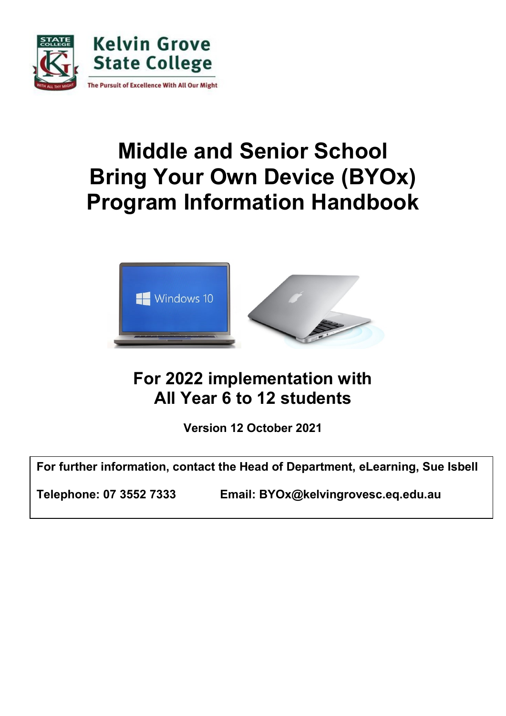

# **Middle and Senior School Bring Your Own Device (BYOx) Program Information Handbook**



# **For 2022 implementation with All Year 6 to 12 students**

**Version 12 October 2021** 

**For further information, contact the Head of Department, eLearning, Sue Isbell**

**Telephone: 07 3552 7333 Email: BYOx@kelvingrovesc.eq.edu.au**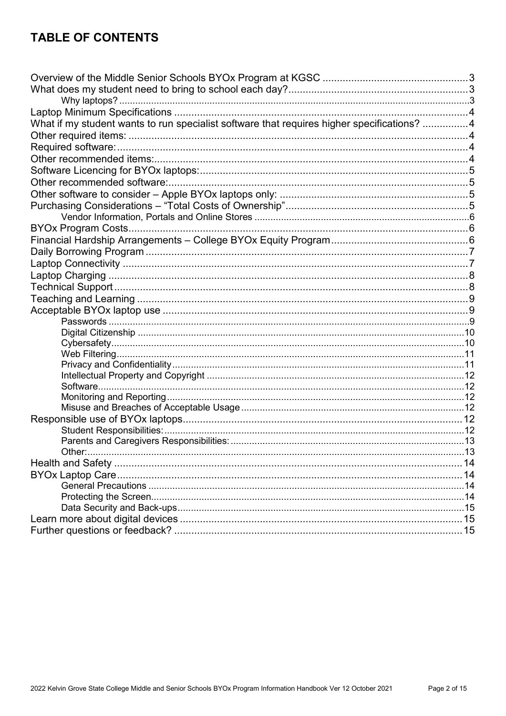# **TABLE OF CONTENTS**

| What if my student wants to run specialist software that requires higher specifications? 4 |  |
|--------------------------------------------------------------------------------------------|--|
|                                                                                            |  |
|                                                                                            |  |
|                                                                                            |  |
|                                                                                            |  |
|                                                                                            |  |
|                                                                                            |  |
|                                                                                            |  |
|                                                                                            |  |
|                                                                                            |  |
|                                                                                            |  |
|                                                                                            |  |
|                                                                                            |  |
|                                                                                            |  |
|                                                                                            |  |
|                                                                                            |  |
|                                                                                            |  |
|                                                                                            |  |
|                                                                                            |  |
|                                                                                            |  |
|                                                                                            |  |
|                                                                                            |  |
|                                                                                            |  |
|                                                                                            |  |
|                                                                                            |  |
|                                                                                            |  |
|                                                                                            |  |
|                                                                                            |  |
|                                                                                            |  |
| Other:                                                                                     |  |
|                                                                                            |  |
|                                                                                            |  |
|                                                                                            |  |
|                                                                                            |  |
|                                                                                            |  |
|                                                                                            |  |
|                                                                                            |  |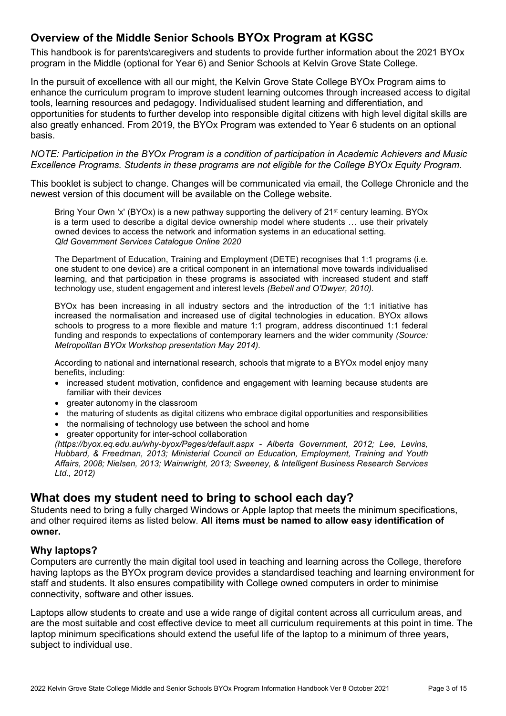# <span id="page-2-0"></span>**Overview of the Middle Senior Schools BYOx Program at KGSC**

This handbook is for parents\caregivers and students to provide further information about the 2021 BYOx program in the Middle (optional for Year 6) and Senior Schools at Kelvin Grove State College.

In the pursuit of excellence with all our might, the Kelvin Grove State College BYOx Program aims to enhance the curriculum program to improve student learning outcomes through increased access to digital tools, learning resources and pedagogy. Individualised student learning and differentiation, and opportunities for students to further develop into responsible digital citizens with high level digital skills are also greatly enhanced. From 2019, the BYOx Program was extended to Year 6 students on an optional basis.

*NOTE: Participation in the BYOx Program is a condition of participation in Academic Achievers and Music Excellence Programs. Students in these programs are not eligible for the College BYOx Equity Program.*

This booklet is subject to change. Changes will be communicated via email, the College Chronicle and the newest version of this document will be available on the College website.

Bring Your Own 'x' (BYOx) is a new pathway supporting the delivery of 21<sup>st</sup> century learning. BYOx is a term used to describe a digital device ownership model where students … use their privately owned devices to access the network and information systems in an educational setting. *Qld Government Services Catalogue Online 2020*

The Department of Education, Training and Employment (DETE) recognises that 1:1 programs (i.e. one student to one device) are a critical component in an international move towards individualised learning, and that participation in these programs is associated with increased student and staff technology use, student engagement and interest levels *(Bebell and O'Dwyer, 2010).*

BYOx has been increasing in all industry sectors and the introduction of the 1:1 initiative has increased the normalisation and increased use of digital technologies in education. BYOx allows schools to progress to a more flexible and mature 1:1 program, address discontinued 1:1 federal funding and responds to expectations of contemporary learners and the wider community *(Source: Metropolitan BYOx Workshop presentation May 2014).*

According to national and international research, schools that migrate to a BYOx model enjoy many benefits, including:

- increased student motivation, confidence and engagement with learning because students are familiar with their devices
- greater autonomy in the classroom
- the maturing of students as digital citizens who embrace digital opportunities and responsibilities
- the normalising of technology use between the school and home
- greater opportunity for inter-school collaboration

*(https://byox.eq.edu.au/why-byox/Pages/default.aspx - Alberta Government, 2012; Lee, Levins, Hubbard, & Freedman, 2013; Ministerial Council on Education, Employment, Training and Youth Affairs, 2008; Nielsen, 2013; Wainwright, 2013; Sweeney, & Intelligent Business Research Services Ltd., 2012)*

# <span id="page-2-1"></span>**What does my student need to bring to school each day?**

Students need to bring a fully charged Windows or Apple laptop that meets the minimum specifications, and other required items as listed below. **All items must be named to allow easy identification of owner.**

#### <span id="page-2-2"></span>**Why laptops?**

Computers are currently the main digital tool used in teaching and learning across the College, therefore having laptops as the BYOx program device provides a standardised teaching and learning environment for staff and students. It also ensures compatibility with College owned computers in order to minimise connectivity, software and other issues.

Laptops allow students to create and use a wide range of digital content across all curriculum areas, and are the most suitable and cost effective device to meet all curriculum requirements at this point in time. The laptop minimum specifications should extend the useful life of the laptop to a minimum of three years, subject to individual use.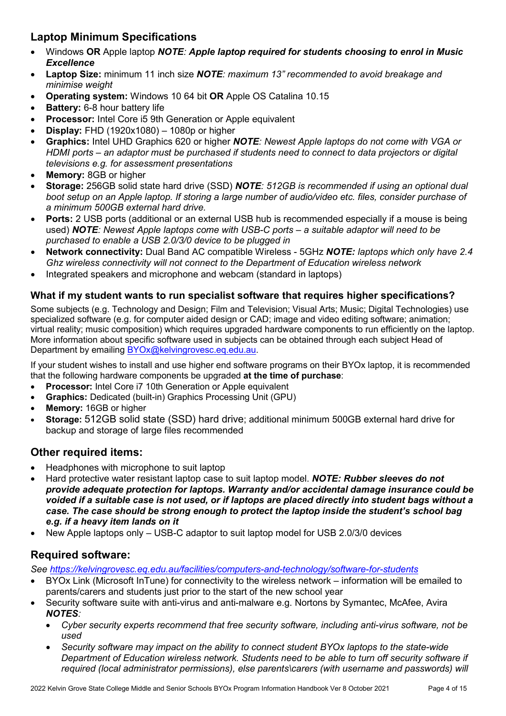# <span id="page-3-0"></span>**Laptop Minimum Specifications**

- <span id="page-3-1"></span>• Windows **OR** Apple laptop *NOTE: Apple laptop required for students choosing to enrol in Music Excellence*
- **Laptop Size:** minimum 11 inch size *NOTE: maximum 13" recommended to avoid breakage and minimise weight*
- **Operating system:** Windows 10 64 bit **OR** Apple OS Catalina 10.15
- **Battery:** 6-8 hour battery life
- **Processor:** Intel Core i5 9th Generation or Apple equivalent
- **Display:** FHD (1920x1080) 1080p or higher
- **Graphics:** Intel UHD Graphics 620 or higher *NOTE: Newest Apple laptops do not come with VGA or HDMI ports – an adaptor must be purchased if students need to connect to data projectors or digital televisions e.g. for assessment presentations*
- **Memory:** 8GB or higher
- **Storage:** 256GB solid state hard drive (SSD) *NOTE: 512GB is recommended if using an optional dual boot setup on an Apple laptop. If storing a large number of audio/video etc. files, consider purchase of a minimum 500GB external hard drive.*
- **Ports:** 2 USB ports (additional or an external USB hub is recommended especially if a mouse is being used) *NOTE: Newest Apple laptops come with USB-C ports – a suitable adaptor will need to be purchased to enable a USB 2.0/3/0 device to be plugged in*
- **Network connectivity:** Dual Band AC compatible Wireless 5GHz *NOTE: laptops which only have 2.4 Ghz wireless connectivity will not connect to the Department of Education wireless network*
- Integrated speakers and microphone and webcam (standard in laptops)

#### **What if my student wants to run specialist software that requires higher specifications?**

<span id="page-3-2"></span>Some subjects (e.g. Technology and Design; Film and Television; Visual Arts; Music; Digital Technologies) use specialized software (e.g. for computer aided design or CAD; image and video editing software; animation; virtual reality; music composition) which requires upgraded hardware components to run efficiently on the laptop. More information about specific software used in subjects can be obtained through each subject Head of Department by emailing [BYOx@kelvingrovesc.eq.edu.au.](mailto:BYOx@kelvingrovesc.eq.edu.au)

If your student wishes to install and use higher end software programs on their BYOx laptop, it is recommended that the following hardware components be upgraded **at the time of purchase**:

- **Processor:** Intel Core i7 10th Generation or Apple equivalent
- **Graphics:** Dedicated (built-in) Graphics Processing Unit (GPU)
- **Memory:** 16GB or higher
- **Storage:** 512GB solid state (SSD) hard drive; additional minimum 500GB external hard drive for backup and storage of large files recommended

### **Other required items:**

- <span id="page-3-3"></span>• Headphones with microphone to suit laptop
- Hard protective water resistant laptop case to suit laptop model. *NOTE: Rubber sleeves do not provide adequate protection for laptops. Warranty and/or accidental damage insurance could be voided if a suitable case is not used, or if laptops are placed directly into student bags without a case. The case should be strong enough to protect the laptop inside the student's school bag e.g. if a heavy item lands on it*
- New Apple laptops only USB-C adaptor to suit laptop model for USB 2.0/3/0 devices

# **Required software:**

*See<https://kelvingrovesc.eq.edu.au/facilities/computers-and-technology/software-for-students>*

- <span id="page-3-4"></span>• BYOx Link (Microsoft InTune) for connectivity to the wireless network – information will be emailed to parents/carers and students just prior to the start of the new school year
- Security software suite with anti-virus and anti-malware e.g. Nortons by Symantec, McAfee, Avira *NOTES:* 
	- *Cyber security experts recommend that free security software, including anti-virus software, not be used*
	- *Security software may impact on the ability to connect student BYOx laptops to the state-wide Department of Education wireless network. Students need to be able to turn off security software if required (local administrator permissions), else parents\carers (with username and passwords) will*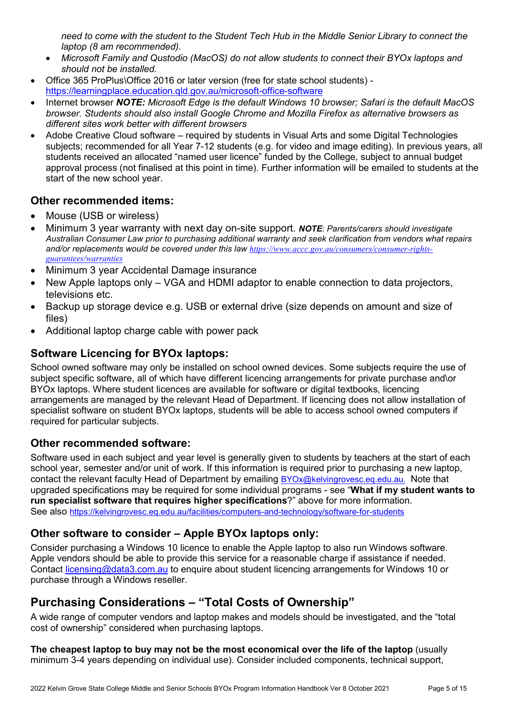*need to come with the student to the Student Tech Hub in the Middle Senior Library to connect the laptop (8 am recommended).* 

- *Microsoft Family and Qustodio (MacOS) do not allow students to connect their BYOx laptops and should not be installed.*
- Office 365 ProPlus\Office 2016 or later version (free for state school students) https://learningplace.education.gld.gov.au/microsoft-office-software
- Internet browser *NOTE: Microsoft Edge is the default Windows 10 browser; Safari is the default MacOS browser. Students should also install Google Chrome and Mozilla Firefox as alternative browsers as different sites work better with different browsers*
- Adobe Creative Cloud software required by students in Visual Arts and some Digital Technologies subjects; recommended for all Year 7-12 students (e.g. for video and image editing). In previous years, all students received an allocated "named user licence" funded by the College, subject to annual budget approval process (not finalised at this point in time). Further information will be emailed to students at the start of the new school year.

### **Other recommended items:**

- <span id="page-4-0"></span>• Mouse (USB or wireless)
- Minimum 3 year warranty with next day on-site support. *NOTE: Parents/carers should investigate Australian Consumer Law prior to purchasing additional warranty and seek clarification from vendors what repairs and/or replacements would be covered under this law [https://www.accc.gov.au/consumers/consumer-rights](https://www.accc.gov.au/consumers/consumer-rights-guarantees/warranties)[guarantees/warranties](https://www.accc.gov.au/consumers/consumer-rights-guarantees/warranties)*
- Minimum 3 year Accidental Damage insurance
- New Apple laptops only VGA and HDMI adaptor to enable connection to data projectors, televisions etc.
- Backup up storage device e.g. USB or external drive (size depends on amount and size of files)
- Additional laptop charge cable with power pack

### **Software Licencing for BYOx laptops:**

School owned software may only be installed on school owned devices. Some subjects require the use of subject specific software, all of which have different licencing arrangements for private purchase and\or BYOx laptops. Where student licences are available for software or digital textbooks, licencing arrangements are managed by the relevant Head of Department. If licencing does not allow installation of specialist software on student BYOx laptops, students will be able to access school owned computers if required for particular subjects.

### <span id="page-4-1"></span>**Other recommended software:**

<span id="page-4-2"></span>Software used in each subject and year level is generally given to students by teachers at the start of each school year, semester and/or unit of work. If this information is required prior to purchasing a new laptop, contact the relevant faculty Head of Department by emailing [BYOx@kelvingrovesc.eq.edu.au](mailto:BYOx@kelvingrovesc.eq.edu.au). Note that upgraded specifications may be required for some individual programs - see "**What if my student wants to run specialist software that requires higher specifications**?" above for more information. See also<https://kelvingrovesc.eq.edu.au/facilities/computers-and-technology/software-for-students>

### **Other software to consider – Apple BYOx laptops only:**

<span id="page-4-3"></span>Consider purchasing a Windows 10 licence to enable the Apple laptop to also run Windows software. Apple vendors should be able to provide this service for a reasonable charge if assistance if needed. Contact [licensing@data3.com.au](mailto:licensing@data3.com.au) to enquire about student licencing arrangements for Windows 10 or purchase through a Windows reseller.

# **Purchasing Considerations – "Total Costs of Ownership"**

A wide range of computer vendors and laptop makes and models should be investigated, and the "total cost of ownership" considered when purchasing laptops.

**The cheapest laptop to buy may not be the most economical over the life of the laptop** (usually minimum 3-4 years depending on individual use). Consider included components, technical support,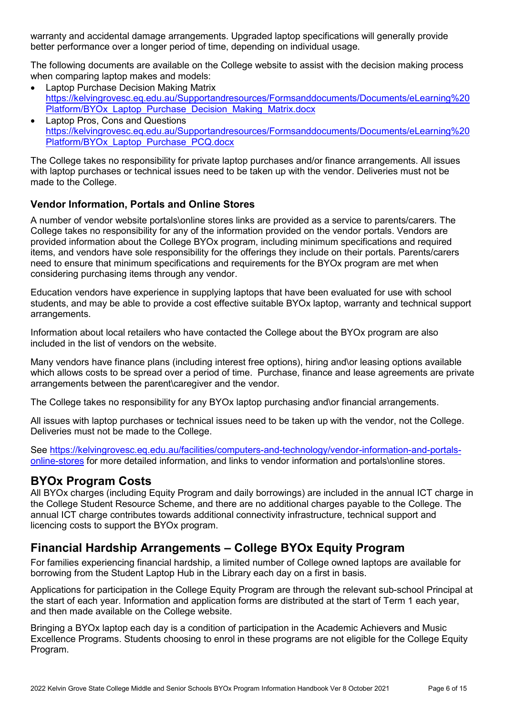warranty and accidental damage arrangements. Upgraded laptop specifications will generally provide better performance over a longer period of time, depending on individual usage.

The following documents are available on the College website to assist with the decision making process when comparing laptop makes and models:

- Laptop Purchase Decision Making Matrix [https://kelvingrovesc.eq.edu.au/Supportandresources/Formsanddocuments/Documents/eLearning%20](https://kelvingrovesc.eq.edu.au/Supportandresources/Formsanddocuments/Documents/eLearning%20Platform/BYOx_Laptop_Purchase_Decision_Making_Matrix.docx) [Platform/BYOx\\_Laptop\\_Purchase\\_Decision\\_Making\\_Matrix.docx](https://kelvingrovesc.eq.edu.au/Supportandresources/Formsanddocuments/Documents/eLearning%20Platform/BYOx_Laptop_Purchase_Decision_Making_Matrix.docx)
- Laptop Pros, Cons and Questions [https://kelvingrovesc.eq.edu.au/Supportandresources/Formsanddocuments/Documents/eLearning%20](https://kelvingrovesc.eq.edu.au/Supportandresources/Formsanddocuments/Documents/eLearning%20Platform/BYOx_Laptop_Purchase_PCQ.docx) [Platform/BYOx\\_Laptop\\_Purchase\\_PCQ.docx](https://kelvingrovesc.eq.edu.au/Supportandresources/Formsanddocuments/Documents/eLearning%20Platform/BYOx_Laptop_Purchase_PCQ.docx)

The College takes no responsibility for private laptop purchases and/or finance arrangements. All issues with laptop purchases or technical issues need to be taken up with the vendor. Deliveries must not be made to the College.

#### <span id="page-5-0"></span>**Vendor Information, Portals and Online Stores**

A number of vendor website portals\online stores links are provided as a service to parents/carers. The College takes no responsibility for any of the information provided on the vendor portals. Vendors are provided information about the College BYOx program, including minimum specifications and required items, and vendors have sole responsibility for the offerings they include on their portals. Parents/carers need to ensure that minimum specifications and requirements for the BYOx program are met when considering purchasing items through any vendor.

Education vendors have experience in supplying laptops that have been evaluated for use with school students, and may be able to provide a cost effective suitable BYOx laptop, warranty and technical support arrangements.

Information about local retailers who have contacted the College about the BYOx program are also included in the list of vendors on the website.

Many vendors have finance plans (including interest free options), hiring and\or leasing options available which allows costs to be spread over a period of time. Purchase, finance and lease agreements are private arrangements between the parent\caregiver and the vendor.

The College takes no responsibility for any BYOx laptop purchasing and\or financial arrangements.

All issues with laptop purchases or technical issues need to be taken up with the vendor, not the College. Deliveries must not be made to the College.

See [https://kelvingrovesc.eq.edu.au/facilities/computers-and-technology/vendor-information-and-portals](https://kelvingrovesc.eq.edu.au/facilities/computers-and-technology/vendor-information-and-portals-online-stores)[online-stores](https://kelvingrovesc.eq.edu.au/facilities/computers-and-technology/vendor-information-and-portals-online-stores) for more detailed information, and links to vendor information and portals\online stores.

### <span id="page-5-1"></span>**BYOx Program Costs**

All BYOx charges (including Equity Program and daily borrowings) are included in the annual ICT charge in the College Student Resource Scheme, and there are no additional charges payable to the College. The annual ICT charge contributes towards additional connectivity infrastructure, technical support and licencing costs to support the BYOx program.

# <span id="page-5-2"></span>**Financial Hardship Arrangements – College BYOx Equity Program**

For families experiencing financial hardship, a limited number of College owned laptops are available for borrowing from the Student Laptop Hub in the Library each day on a first in basis.

Applications for participation in the College Equity Program are through the relevant sub-school Principal at the start of each year. Information and application forms are distributed at the start of Term 1 each year, and then made available on the College website.

Bringing a BYOx laptop each day is a condition of participation in the Academic Achievers and Music Excellence Programs. Students choosing to enrol in these programs are not eligible for the College Equity Program.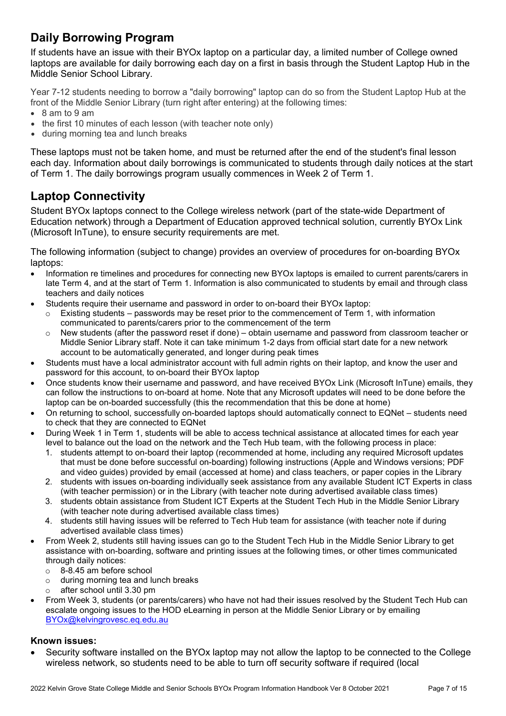# <span id="page-6-0"></span>**Daily Borrowing Program**

If students have an issue with their BYOx laptop on a particular day, a limited number of College owned laptops are available for daily borrowing each day on a first in basis through the Student Laptop Hub in the Middle Senior School Library.

Year 7-12 students needing to borrow a "daily borrowing" laptop can do so from the Student Laptop Hub at the front of the Middle Senior Library (turn right after entering) at the following times:

- 8 am to 9 am
- the first 10 minutes of each lesson (with teacher note only)
- during morning tea and lunch breaks

These laptops must not be taken home, and must be returned after the end of the student's final lesson each day. Information about daily borrowings is communicated to students through daily notices at the start of Term 1. The daily borrowings program usually commences in Week 2 of Term 1.

# <span id="page-6-1"></span>**Laptop Connectivity**

Student BYOx laptops connect to the College wireless network (part of the state-wide Department of Education network) through a Department of Education approved technical solution, currently BYOx Link (Microsoft InTune), to ensure security requirements are met.

The following information (subject to change) provides an overview of procedures for on-boarding BYOx laptops:

- Information re timelines and procedures for connecting new BYOx laptops is emailed to current parents/carers in late Term 4, and at the start of Term 1. Information is also communicated to students by email and through class teachers and daily notices
- Students require their username and password in order to on-board their BYOx laptop:
	- $\circ$  Existing students passwords may be reset prior to the commencement of Term 1, with information communicated to parents/carers prior to the commencement of the term
		- o New students (after the password reset if done) obtain username and password from classroom teacher or Middle Senior Library staff. Note it can take minimum 1-2 days from official start date for a new network account to be automatically generated, and longer during peak times
- Students must have a local administrator account with full admin rights on their laptop, and know the user and password for this account, to on-board their BYOx laptop
- Once students know their username and password, and have received BYOx Link (Microsoft InTune) emails, they can follow the instructions to on-board at home. Note that any Microsoft updates will need to be done before the laptop can be on-boarded successfully (this the recommendation that this be done at home)
- On returning to school, successfully on-boarded laptops should automatically connect to EQNet students need to check that they are connected to EQNet
- During Week 1 in Term 1, students will be able to access technical assistance at allocated times for each year level to balance out the load on the network and the Tech Hub team, with the following process in place:
	- 1. students attempt to on-board their laptop (recommended at home, including any required Microsoft updates that must be done before successful on-boarding) following instructions (Apple and Windows versions; PDF and video guides) provided by email (accessed at home) and class teachers, or paper copies in the Library
	- 2. students with issues on-boarding individually seek assistance from any available Student ICT Experts in class (with teacher permission) or in the Library (with teacher note during advertised available class times)
	- 3. students obtain assistance from Student ICT Experts at the Student Tech Hub in the Middle Senior Library (with teacher note during advertised available class times)
	- 4. students still having issues will be referred to Tech Hub team for assistance (with teacher note if during advertised available class times)
- From Week 2, students still having issues can go to the Student Tech Hub in the Middle Senior Library to get assistance with on-boarding, software and printing issues at the following times, or other times communicated through daily notices:
	- $\circ$  8-8.45 am before school<br> $\circ$  during morning tea and l
	- during morning tea and lunch breaks
	- o after school until 3.30 pm
- From Week 3, students (or parents/carers) who have not had their issues resolved by the Student Tech Hub can escalate ongoing issues to the HOD eLearning in person at the Middle Senior Library or by emailing [BYOx@kelvingrovesc.eq.edu.au](mailto:BYOx@kelvingrovesc.eq.edu.au)

#### **Known issues:**

• Security software installed on the BYOx laptop may not allow the laptop to be connected to the College wireless network, so students need to be able to turn off security software if required (local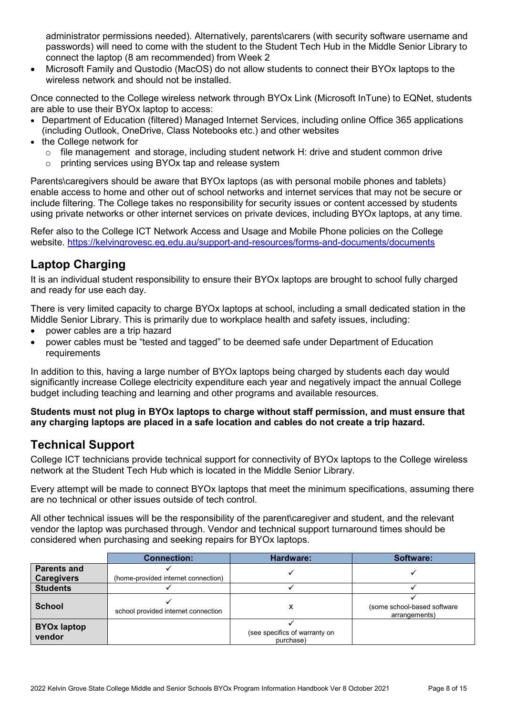administrator permissions needed). Alternatively, parents\carers (with security software username and passwords) will need to come with the student to the Student Tech Hub in the Middle Senior Library to connect the laptop (8 am recommended) from Week 2

• Microsoft Family and Qustodio (MacOS) do not allow students to connect their BYOx laptops to the wireless network and should not be installed

Once connected to the College wireless network through BYOx Link (Microsoft InTune) to EQNet, students are able to use their BYOx laptop to access:

- Department of Education (filtered) Managed Internet Services, including online Office 365 applications (including Outlook, OneDrive, Class Notebooks etc.) and other websites
- the College network for
	- $\circ$  file management and storage, including student network H: drive and student common drive
	- o printing services using BYOx tap and release system

Parents\caregivers should be aware that BYOx laptops (as with personal mobile phones and tablets) enable access to home and other out of school networks and internet services that may not be secure or include filtering. The College takes no responsibility for security issues or content accessed by students using private networks or other internet services on private devices, including BYOx laptops, at any time.

Refer also to the College ICT Network Access and Usage and Mobile Phone policies on the College website. <https://kelvingrovesc.eq.edu.au/support-and-resources/forms-and-documents/documents>

# <span id="page-7-0"></span>**Laptop Charging**

It is an individual student responsibility to ensure their BYOx laptops are brought to school fully charged and ready for use each day.

There is very limited capacity to charge BYOx laptops at school, including a small dedicated station in the Middle Senior Library. This is primarily due to workplace health and safety issues, including:

- power cables are a trip hazard
- power cables must be "tested and tagged" to be deemed safe under Department of Education requirements

In addition to this, having a large number of BYOx laptops being charged by students each day would significantly increase College electricity expenditure each year and negatively impact the annual College budget including teaching and learning and other programs and available resources.

**Students must not plug in BYOx laptops to charge without staff permission, and must ensure that any charging laptops are placed in a safe location and cables do not create a trip hazard.**

# <span id="page-7-1"></span>**Technical Support**

College ICT technicians provide technical support for connectivity of BYOx laptops to the College wireless network at the Student Tech Hub which is located in the Middle Senior Library.

Every attempt will be made to connect BYOx laptops that meet the minimum specifications, assuming there are no technical or other issues outside of tech control.

All other technical issues will be the responsibility of the parent\caregiver and student, and the relevant vendor the laptop was purchased through. Vendor and technical support turnaround times should be considered when purchasing and seeking repairs for BYOx laptops.

|                              | <b>Connection:</b>                  | Hardware:                                  | Software:                                    |
|------------------------------|-------------------------------------|--------------------------------------------|----------------------------------------------|
| <b>Parents and</b>           |                                     |                                            |                                              |
| <b>Caregivers</b>            | (home-provided internet connection) |                                            |                                              |
| <b>Students</b>              |                                     |                                            |                                              |
| <b>School</b>                | school provided internet connection |                                            | (some school-based software<br>arrangements) |
| <b>BYOx laptop</b><br>vendor |                                     | (see specifics of warranty on<br>purchase) |                                              |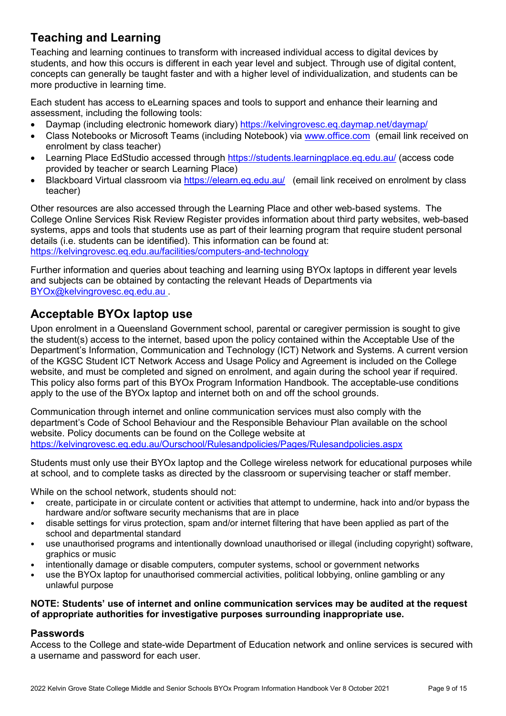# <span id="page-8-0"></span>**Teaching and Learning**

Teaching and learning continues to transform with increased individual access to digital devices by students, and how this occurs is different in each year level and subject. Through use of digital content, concepts can generally be taught faster and with a higher level of individualization, and students can be more productive in learning time.

Each student has access to eLearning spaces and tools to support and enhance their learning and assessment, including the following tools:

- Daymap (including electronic homework diary) <https://kelvingrovesc.eq.daymap.net/daymap/>
- Class Notebooks or Microsoft Teams (including Notebook) via [www.office.com](http://www.office.com/) (email link received on enrolment by class teacher)
- Learning Place EdStudio accessed through<https://students.learningplace.eq.edu.au/> (access code provided by teacher or search Learning Place)
- Blackboard Virtual classroom via<https://elearn.eq.edu.au/>(email link received on enrolment by class teacher)

Other resources are also accessed through the Learning Place and other web-based systems. The College Online Services Risk Review Register provides information about third party websites, web-based systems, apps and tools that students use as part of their learning program that require student personal details (i.e. students can be identified). This information can be found at: <https://kelvingrovesc.eq.edu.au/facilities/computers-and-technology>

Further information and queries about teaching and learning using BYOx laptops in different year levels and subjects can be obtained by contacting the relevant Heads of Departments via [BYOx@kelvingrovesc.eq.edu.au](mailto:BYOx@kelvingrovesc.eq.edu.au) .

# <span id="page-8-1"></span>**Acceptable BYOx laptop use**

Upon enrolment in a Queensland Government school, parental or caregiver permission is sought to give the student(s) access to the internet, based upon the policy contained within the [Acceptable Use of the](http://ppr.det.qld.gov.au/corp/ict/management/Pages/Acceptable-Use-of-Departments-Information-Communication-and-Technology-%28ICT%29-Network-and-Systems.aspx)  [Department's Information, Communication and Technology \(ICT\) Network and Systems.](http://ppr.det.qld.gov.au/corp/ict/management/Pages/Acceptable-Use-of-Departments-Information-Communication-and-Technology-%28ICT%29-Network-and-Systems.aspx) A current version of the KGSC Student ICT Network Access and Usage Policy and Agreement is included on the College website, and must be completed and signed on enrolment, and again during the school year if required. This policy also forms part of this BYOx Program Information Handbook. The acceptable-use conditions apply to the use of the BYOx laptop and internet both on and off the school grounds.

Communication through internet and online communication services must also comply with the department's [Code of School Behaviour](http://education.qld.gov.au/studentservices/behaviour/bm-codebehav.html) and the Responsible Behaviour Plan available on the school website. Policy documents can be found on the College website at <https://kelvingrovesc.eq.edu.au/Ourschool/Rulesandpolicies/Pages/Rulesandpolicies.aspx>

Students must only use their BYOx laptop and the College wireless network for educational purposes while at school, and to complete tasks as directed by the classroom or supervising teacher or staff member.

While on the school network, students should not:

- create, participate in or circulate content or activities that attempt to undermine, hack into and/or bypass the hardware and/or software security mechanisms that are in place
- disable settings for virus protection, spam and/or internet filtering that have been applied as part of the school and departmental standard
- use unauthorised programs and intentionally download unauthorised or illegal (including copyright) software, graphics or music
- intentionally damage or disable computers, computer systems, school or government networks
- use the BYOx laptop for unauthorised commercial activities, political lobbying, online gambling or any unlawful purpose

#### **NOTE: Students' use of internet and online communication services may be audited at the request of appropriate authorities for investigative purposes surrounding inappropriate use.**

#### <span id="page-8-2"></span>**Passwords**

Access to the College and state-wide Department of Education network and online services is secured with a username and password for each user.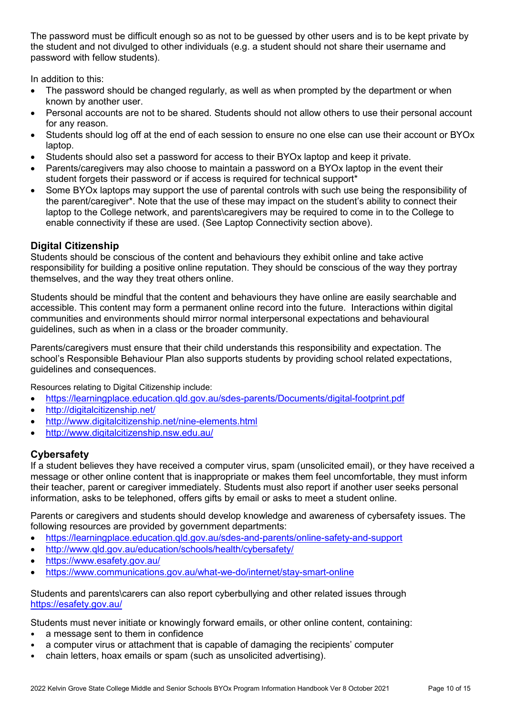The password must be difficult enough so as not to be guessed by other users and is to be kept private by the student and not divulged to other individuals (e.g. a student should not share their username and password with fellow students).

In addition to this:

- The password should be changed regularly, as well as when prompted by the department or when known by another user.
- Personal accounts are not to be shared. Students should not allow others to use their personal account for any reason.
- Students should log off at the end of each session to ensure no one else can use their account or BYOx laptop.
- Students should also set a password for access to their BYOx laptop and keep it private.
- Parents/caregivers may also choose to maintain a password on a BYOx laptop in the event their student forgets their password or if access is required for technical support\*
- Some BYOx laptops may support the use of parental controls with such use being the responsibility of the parent/caregiver\*. Note that the use of these may impact on the student's ability to connect their laptop to the College network, and parents\caregivers may be required to come in to the College to enable connectivity if these are used. (See Laptop Connectivity section above).

### <span id="page-9-0"></span>**Digital Citizenship**

Students should be conscious of the content and behaviours they exhibit online and take active responsibility for building a positive online reputation. They should be conscious of the way they portray themselves, and the way they treat others online.

Students should be mindful that the content and behaviours they have online are easily searchable and accessible. This content may form a permanent online record into the future. Interactions within digital communities and environments should mirror normal interpersonal expectations and behavioural guidelines, such as when in a class or the broader community.

Parents/caregivers must ensure that their child understands this responsibility and expectation. The school's Responsible Behaviour Plan also supports students by providing school related expectations, guidelines and consequences.

Resources relating to Digital Citizenship include:

- <https://learningplace.education.qld.gov.au/sdes-parents/Documents/digital-footprint.pdf>
- <http://digitalcitizenship.net/>
- <http://www.digitalcitizenship.net/nine-elements.html>
- <http://www.digitalcitizenship.nsw.edu.au/>

### <span id="page-9-1"></span>**Cybersafety**

If a student believes they have received a computer virus, spam (unsolicited email), or they have received a message or other online content that is inappropriate or makes them feel uncomfortable, they must inform their teacher, parent or caregiver immediately. Students must also report if another user seeks personal information, asks to be telephoned, offers gifts by email or asks to meet a student online.

Parents or caregivers and students should develop knowledge and awareness of cybersafety issues. The following resources are provided by government departments:

- <https://learningplace.education.qld.gov.au/sdes-and-parents/online-safety-and-support>
- <http://www.qld.gov.au/education/schools/health/cybersafety/>
- <https://www.esafety.gov.au/>
- <https://www.communications.gov.au/what-we-do/internet/stay-smart-online>

Students and parents\carers can also report cyberbullying and other related issues through <https://esafety.gov.au/>

Students must never initiate or knowingly forward emails, or other online content, containing:

- a message sent to them in confidence
- a computer virus or attachment that is capable of damaging the recipients' computer
- chain letters, hoax emails or spam (such as unsolicited advertising).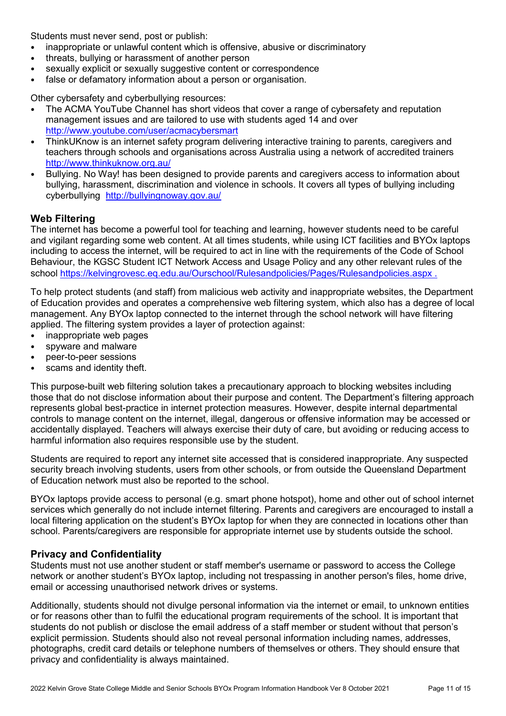Students must never send, post or publish:

- inappropriate or unlawful content which is offensive, abusive or discriminatory
- threats, bullying or harassment of another person
- sexually explicit or sexually suggestive content or correspondence
- false or defamatory information about a person or organisation.

Other cybersafety and cyberbullying resources:

- The ACMA YouTube Channel has short videos that cover a range of cybersafety and reputation management issues and are tailored to use with students aged 14 and over <http://www.youtube.com/user/acmacybersmart>
- ThinkUKnow is an internet safety program delivering interactive training to parents, caregivers and teachers through schools and organisations across Australia using a network of accredited trainers <http://www.thinkuknow.org.au/>
- Bullying. No Way! has been designed to provide parents and caregivers access to information about bullying, harassment, discrimination and violence in schools. It covers all types of bullying including cyberbullying <http://bullyingnoway.gov.au/>

#### <span id="page-10-0"></span>**Web Filtering**

The internet has become a powerful tool for teaching and learning, however students need to be careful and vigilant regarding some web content. At all times students, while using ICT facilities and BYOx laptops including to access the internet, will be required to act in line with the requirements of the Code of School Behaviour, the KGSC Student ICT Network Access and Usage Policy and any other relevant rules of the school <https://kelvingrovesc.eq.edu.au/Ourschool/Rulesandpolicies/Pages/Rulesandpolicies.aspx> .

To help protect students (and staff) from malicious web activity and inappropriate websites, the Department of Education provides and operates a comprehensive web filtering system, which also has a degree of local management. Any BYOx laptop connected to the internet through the school network will have filtering applied. The filtering system provides a laver of protection against:

- inappropriate web pages
- spyware and malware
- peer-to-peer sessions
- scams and identity theft.

This purpose-built web filtering solution takes a precautionary approach to blocking websites including those that do not disclose information about their purpose and content. The Department's filtering approach represents global best-practice in internet protection measures. However, despite internal departmental controls to manage content on the internet, illegal, dangerous or offensive information may be accessed or accidentally displayed. Teachers will always exercise their duty of care, but avoiding or reducing access to harmful information also requires responsible use by the student.

Students are required to report any internet site accessed that is considered inappropriate. Any suspected security breach involving students, users from other schools, or from outside the Queensland Department of Education network must also be reported to the school.

BYOx laptops provide access to personal (e.g. smart phone hotspot), home and other out of school internet services which generally do not include internet filtering. Parents and caregivers are encouraged to install a local filtering application on the student's BYOx laptop for when they are connected in locations other than school. Parents/caregivers are responsible for appropriate internet use by students outside the school.

#### <span id="page-10-1"></span>**Privacy and Confidentiality**

Students must not use another student or staff member's username or password to access the College network or another student's BYOx laptop, including not trespassing in another person's files, home drive, email or accessing unauthorised network drives or systems.

Additionally, students should not divulge personal information via the internet or email, to unknown entities or for reasons other than to fulfil the educational program requirements of the school. It is important that students do not publish or disclose the email address of a staff member or student without that person's explicit permission. Students should also not reveal personal information including names, addresses, photographs, credit card details or telephone numbers of themselves or others. They should ensure that privacy and confidentiality is always maintained.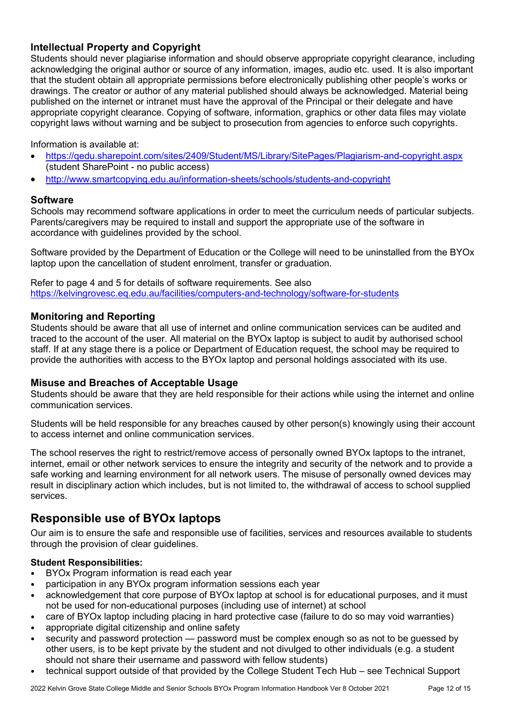### <span id="page-11-0"></span>**Intellectual Property and Copyright**

Students should never plagiarise information and should observe appropriate copyright clearance, including acknowledging the original author or source of any information, images, audio etc. used. It is also important that the student obtain all appropriate permissions before electronically publishing other people's works or drawings. The creator or author of any material published should always be acknowledged. Material being published on the internet or intranet must have the approval of the Principal or their delegate and have appropriate copyright clearance. Copying of software, information, graphics or other data files may violate copyright laws without warning and be subject to prosecution from agencies to enforce such copyrights.

Information is available at:

- <https://qedu.sharepoint.com/sites/2409/Student/MS/Library/SitePages/Plagiarism-and-copyright.aspx> (student SharePoint - no public access)
- <http://www.smartcopying.edu.au/information-sheets/schools/students-and-copyright>

#### <span id="page-11-1"></span>**Software**

Schools may recommend software applications in order to meet the curriculum needs of particular subjects. Parents/caregivers may be required to install and support the appropriate use of the software in accordance with guidelines provided by the school.

Software provided by the Department of Education or the College will need to be uninstalled from the BYOx laptop upon the cancellation of student enrolment, transfer or graduation.

Refer to page 4 and 5 for details of software requirements. See also <https://kelvingrovesc.eq.edu.au/facilities/computers-and-technology/software-for-students>

#### <span id="page-11-2"></span>**Monitoring and Reporting**

Students should be aware that all use of internet and online communication services can be audited and traced to the account of the user. All material on the BYOx laptop is subject to audit by authorised school staff. If at any stage there is a police or Department of Education request, the school may be required to provide the authorities with access to the BYOx laptop and personal holdings associated with its use.

#### <span id="page-11-3"></span>**Misuse and Breaches of Acceptable Usage**

Students should be aware that they are held responsible for their actions while using the internet and online communication services.

Students will be held responsible for any breaches caused by other person(s) knowingly using their account to access internet and online communication services.

The school reserves the right to restrict/remove access of personally owned BYOx laptops to the intranet, internet, email or other network services to ensure the integrity and security of the network and to provide a safe working and learning environment for all network users. The misuse of personally owned devices may result in disciplinary action which includes, but is not limited to, the withdrawal of access to school supplied services.

# <span id="page-11-4"></span>**Responsible use of BYOx laptops**

Our aim is to ensure the safe and responsible use of facilities, services and resources available to students through the provision of clear guidelines.

#### <span id="page-11-5"></span>**Student Responsibilities:**

- BYOx Program information is read each year
- participation in any BYOx program information sessions each year
- acknowledgement that core purpose of BYOx laptop at school is for educational purposes, and it must not be used for non-educational purposes (including use of internet) at school
- care of BYOx laptop including placing in hard protective case (failure to do so may void warranties)
- appropriate digital citizenship and online safety
- security and password protection password must be complex enough so as not to be guessed by other users, is to be kept private by the student and not divulged to other individuals (e.g. a student should not share their username and password with fellow students)
- technical support outside of that provided by the College Student Tech Hub see Technical Support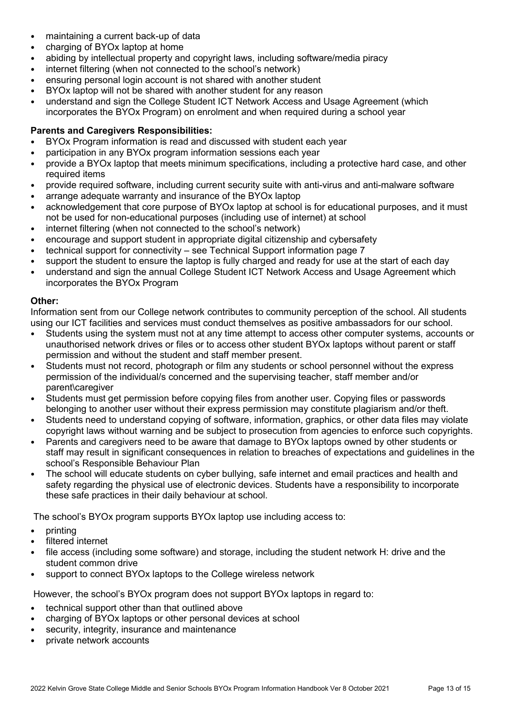- maintaining a current back-up of data
- charging of BYOx laptop at home
- abiding by intellectual property and copyright laws, including software/media piracy
- internet filtering (when not connected to the school's network)
- ensuring personal login account is not shared with another student
- BYOx laptop will not be shared with another student for any reason
- understand and sign the College Student ICT Network Access and Usage Agreement (which incorporates the BYOx Program) on enrolment and when required during a school year

#### <span id="page-12-0"></span>**Parents and Caregivers Responsibilities:**

- BYOx Program information is read and discussed with student each year
- participation in any BYOx program information sessions each year
- provide a BYOx laptop that meets minimum specifications, including a protective hard case, and other required items
- provide required software, including current security suite with anti-virus and anti-malware software
- arrange adequate warranty and insurance of the BYOx laptop
- acknowledgement that core purpose of BYOx laptop at school is for educational purposes, and it must not be used for non-educational purposes (including use of internet) at school
- internet filtering (when not connected to the school's network)
- encourage and support student in appropriate digital citizenship and cybersafety
- technical support for connectivity see Technical Support information page 7
- support the student to ensure the laptop is fully charged and ready for use at the start of each day
- understand and sign the annual College Student ICT Network Access and Usage Agreement which incorporates the BYOx Program

#### <span id="page-12-1"></span>**Other:**

Information sent from our College network contributes to community perception of the school. All students using our ICT facilities and services must conduct themselves as positive ambassadors for our school.

- Students using the system must not at any time attempt to access other computer systems, accounts or unauthorised network drives or files or to access other student BYOx laptops without parent or staff permission and without the student and staff member present.
- Students must not record, photograph or film any students or school personnel without the express permission of the individual/s concerned and the supervising teacher, staff member and/or parent\caregiver
- Students must get permission before copying files from another user. Copying files or passwords belonging to another user without their express permission may constitute plagiarism and/or theft.
- Students need to understand copying of software, information, graphics, or other data files may violate copyright laws without warning and be subject to prosecution from agencies to enforce such copyrights.
- Parents and caregivers need to be aware that damage to BYOx laptops owned by other students or staff may result in significant consequences in relation to breaches of expectations and guidelines in the school's Responsible Behaviour Plan
- The school will educate students on cyber bullying, safe internet and email practices and health and safety regarding the physical use of electronic devices. Students have a responsibility to incorporate these safe practices in their daily behaviour at school.

The school's BYOx program supports BYOx laptop use including access to:

- printing
- filtered internet
- file access (including some software) and storage, including the student network H: drive and the student common drive
- support to connect BYOx laptops to the College wireless network

However, the school's BYOx program does not support BYOx laptops in regard to:

- technical support other than that outlined above
- charging of BYOx laptops or other personal devices at school
- security, integrity, insurance and maintenance
- private network accounts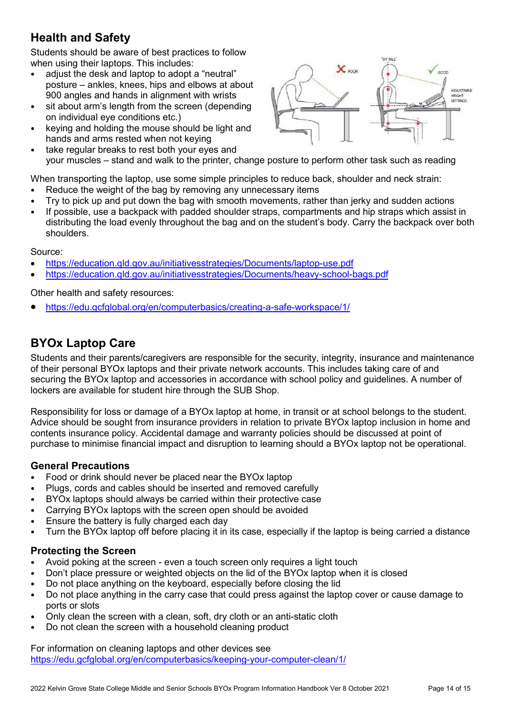# <span id="page-13-0"></span>**Health and Safety**

Students should be aware of best practices to follow when using their laptops. This includes:

- adjust the desk and laptop to adopt a "neutral" posture – ankles, knees, hips and elbows at about 900 angles and hands in alignment with wrists
- sit about arm's length from the screen (depending on individual eye conditions etc.)
- keying and holding the mouse should be light and hands and arms rested when not keying
- take regular breaks to rest both your eyes and your muscles – stand and walk to the printer, change posture to perform other task such as reading

When transporting the laptop, use some simple principles to reduce back, shoulder and neck strain:

- Reduce the weight of the bag by removing any unnecessary items
- Try to pick up and put down the bag with smooth movements, rather than jerky and sudden actions
- If possible, use a backpack with padded shoulder straps, compartments and hip straps which assist in distributing the load evenly throughout the bag and on the student's body. Carry the backpack over both shoulders.

Source:

- <https://education.qld.gov.au/initiativesstrategies/Documents/laptop-use.pdf>
- <https://education.qld.gov.au/initiativesstrategies/Documents/heavy-school-bags.pdf>

Other health and safety resources:

• <https://edu.gcfglobal.org/en/computerbasics/creating-a-safe-workspace/1/>

# <span id="page-13-1"></span>**BYOx Laptop Care**

Students and their parents/caregivers are responsible for the security, integrity, insurance and maintenance of their personal BYOx laptops and their private network accounts. This includes taking care of and securing the BYOx laptop and accessories in accordance with school policy and guidelines. A number of lockers are available for student hire through the SUB Shop.

Responsibility for loss or damage of a BYOx laptop at home, in transit or at school belongs to the student. Advice should be sought from insurance providers in relation to private BYOx laptop inclusion in home and contents insurance policy. Accidental damage and warranty policies should be discussed at point of purchase to minimise financial impact and disruption to learning should a BYOx laptop not be operational.

#### <span id="page-13-2"></span>**General Precautions**

- Food or drink should never be placed near the BYOx laptop
- Plugs, cords and cables should be inserted and removed carefully
- BYOx laptops should always be carried within their protective case
- Carrying BYOx laptops with the screen open should be avoided
- Ensure the battery is fully charged each day
- Turn the BYOx laptop off before placing it in its case, especially if the laptop is being carried a distance

#### <span id="page-13-3"></span>**Protecting the Screen**

- Avoid poking at the screen even a touch screen only requires a light touch
- Don't place pressure or weighted objects on the lid of the BYOx laptop when it is closed
- Do not place anything on the keyboard, especially before closing the lid
- Do not place anything in the carry case that could press against the laptop cover or cause damage to ports or slots
- Only clean the screen with a clean, soft, dry cloth or an anti-static cloth
- Do not clean the screen with a household cleaning product

For information on cleaning laptops and other devices see <https://edu.gcfglobal.org/en/computerbasics/keeping-your-computer-clean/1/>